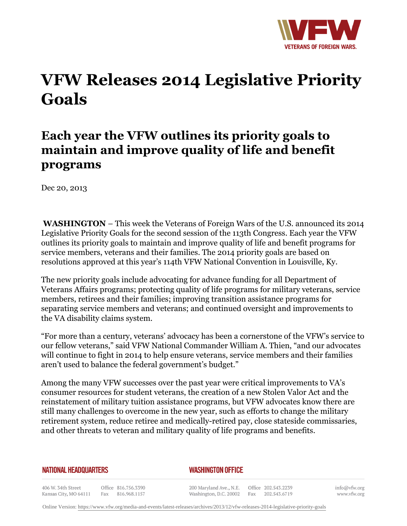

## **VFW Releases 2014 Legislative Priority Goals**

## **Each year the VFW outlines its priority goals to maintain and improve quality of life and benefit programs**

Dec 20, 2013

**WASHINGTON** – This week the Veterans of Foreign Wars of the U.S. announced its 2014 Legislative Priority Goals for the second session of the 113th Congress. Each year the VFW outlines its priority goals to maintain and improve quality of life and benefit programs for service members, veterans and their families. The 2014 priority goals are based on resolutions approved at this year's 114th VFW National Convention in Louisville, Ky.

The new priority goals include advocating for advance funding for all Department of Veterans Affairs programs; protecting quality of life programs for military veterans, service members, retirees and their families; improving transition assistance programs for separating service members and veterans; and continued oversight and improvements to the VA disability claims system.

"For more than a century, veterans' advocacy has been a cornerstone of the VFW's service to our fellow veterans," said VFW National Commander William A. Thien, "and our advocates will continue to fight in 2014 to help ensure veterans, service members and their families aren't used to balance the federal government's budget."

Among the many VFW successes over the past year were critical improvements to VA's consumer resources for student veterans, the creation of a new Stolen Valor Act and the reinstatement of military tuition assistance programs, but VFW advocates know there are still many challenges to overcome in the new year, such as efforts to change the military retirement system, reduce retiree and medically-retired pay, close stateside commissaries, and other threats to veteran and military quality of life programs and benefits.

## **NATIONAL HEADQUARTERS**

## *WASHINGTON OFFICE*

406 W. 34th Street Office 816.756.3390 Kansas City, MO 64111 Fax 816.968.1157

200 Maryland Ave., N.E. Washington, D.C. 20002

Office 202.543.2239 Fax 202.543.6719 info@vfw.org www.vfw.org

Online Version:<https://www.vfw.org/media-and-events/latest-releases/archives/2013/12/vfw-releases-2014-legislative-priority-goals>